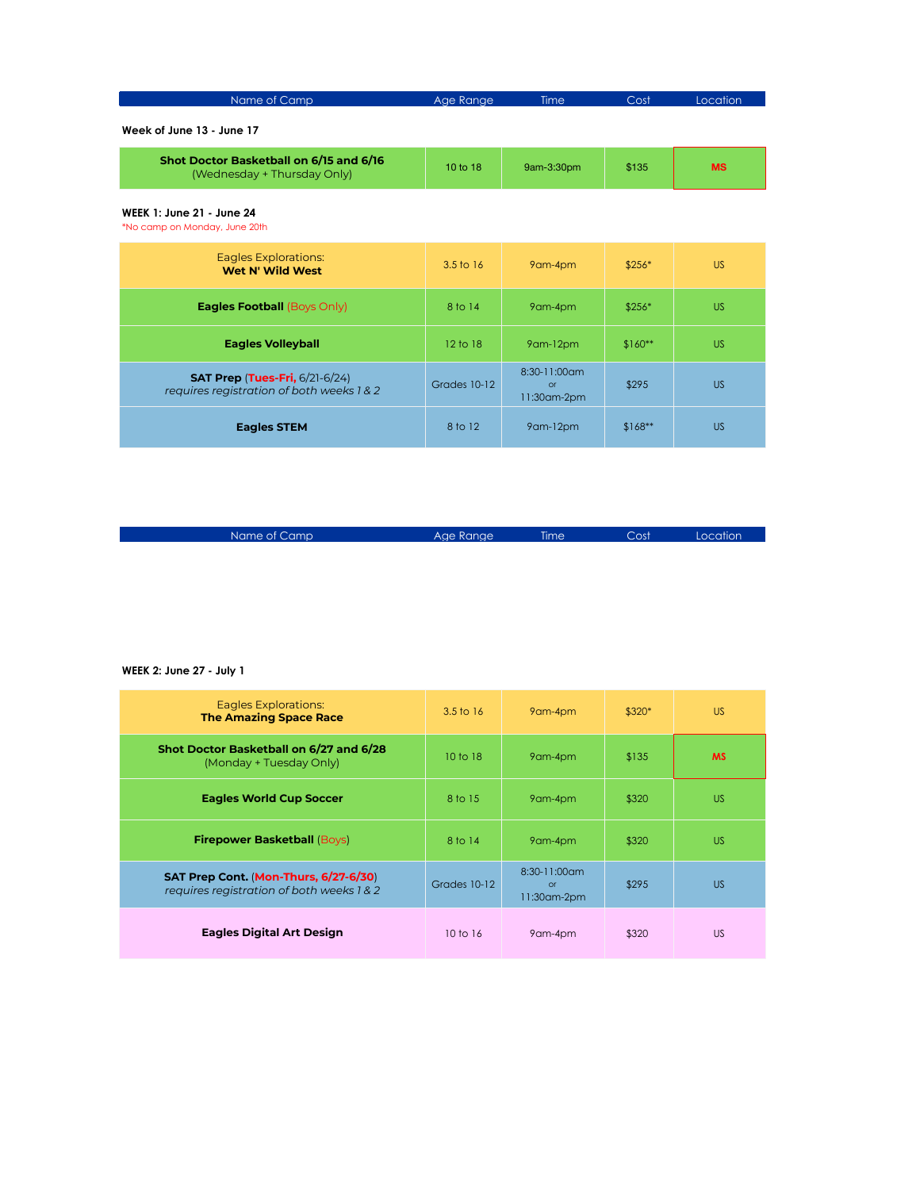| Name of Camp | Age Range | <b>Time</b> | Cost | Location <sup>'</sup> |
|--------------|-----------|-------------|------|-----------------------|
|              |           |             |      |                       |

**Week of June 13 - June 17**

| Shot Doctor Basketball on 6/15 and 6/16<br>(Wednesday + Thursday Only) | 10 to $18$ | 9am-3:30pm | \$135 | MS |
|------------------------------------------------------------------------|------------|------------|-------|----|
|------------------------------------------------------------------------|------------|------------|-------|----|

## **WEEK 1: June 21 - June 24**

\*No camp on Monday, June 20th

| Eagles Explorations:<br><b>Wet N' Wild West</b>                                    | $3.5 \text{ to } 16$ | 9am-4pm                                     | $$256*$  | <b>US</b> |
|------------------------------------------------------------------------------------|----------------------|---------------------------------------------|----------|-----------|
| <b>Eagles Football (Boys Only)</b>                                                 | 8 to 14              | 9am-4pm                                     | $$256*$  | <b>US</b> |
| <b>Eagles Volleyball</b>                                                           | 12 <sub>to</sub> 18  | 9am-12pm                                    | $$160**$ | <b>US</b> |
| <b>SAT Prep (Tues-Fri, 6/21-6/24)</b><br>requires registration of both weeks 1 & 2 | Grades 10-12         | $8:30-11:00$ cm<br>$\alpha$<br>11:30 am-2pm | \$295    | <b>US</b> |
| <b>Eagles STEM</b>                                                                 | 8 to 12              | 9am-12pm                                    | $$168**$ | <b>US</b> |

|  |  | Name of Cami |  |
|--|--|--------------|--|

name of Camp Age Range Time Cost Location

## **WEEK 2: June 27 - July 1**

| <b>Eagles Explorations:</b><br><b>The Amazing Space Race</b>                       | $3.5 \text{ to } 16$ | 9am-4pm                                           | $$320*$ | US.       |
|------------------------------------------------------------------------------------|----------------------|---------------------------------------------------|---------|-----------|
| Shot Doctor Basketball on 6/27 and 6/28<br>(Monday + Tuesday Only)                 | $10 \text{ to } 18$  | 9am-4pm                                           | \$135   | <b>MS</b> |
| <b>Eagles World Cup Soccer</b>                                                     | 8 to 15              | 9am-4pm                                           | \$320   | <b>US</b> |
| <b>Firepower Basketball (Boys)</b>                                                 | 8 to 14              | 9am-4pm                                           | \$320   | US.       |
| SAT Prep Cont. (Mon-Thurs, 6/27-6/30)<br>requires registration of both weeks 1 & 2 | Grades 10-12         | $8:30-11:00$ am<br>$\alpha$<br>$11:30$ am- $2$ pm | \$295   | <b>US</b> |
| <b>Eagles Digital Art Design</b>                                                   | $10 \text{ to } 16$  | 9am-4pm                                           | \$320   | US.       |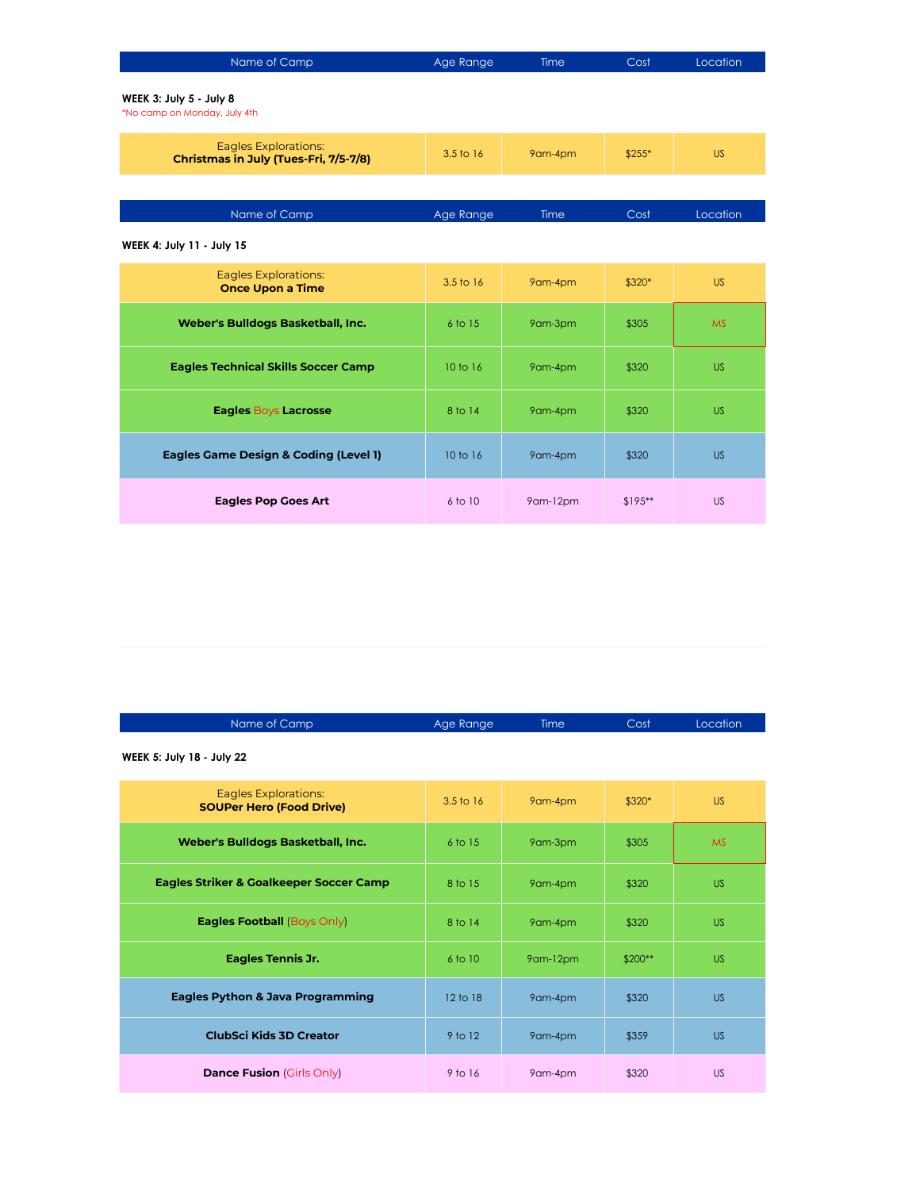| Name of Camp                                                         | Age Range            | Time    | Cost    | Location  |
|----------------------------------------------------------------------|----------------------|---------|---------|-----------|
| WEEK 3: July 5 - July 8<br>*No camp on Monday, July 4th              |                      |         |         |           |
| <b>Eagles Explorations:</b><br>Christmas in July (Tues-Fri, 7/5-7/8) | $3.5 \text{ to } 16$ | 9am-4pm | $$255*$ | US.       |
|                                                                      |                      |         |         |           |
| Name of Camp                                                         | Age Range            | Time    | Cost    | Location  |
| WEEK 4: July 11 - July 15                                            |                      |         |         |           |
| Eagles Explorations:<br><b>Once Upon a Time</b>                      | 3.5 to 16            | 9am-4pm | $$320*$ | <b>US</b> |
| Weber's Bulldogs Basketball, Inc.                                    | 6 to 15              | 9am-3pm | \$305   | <b>MS</b> |
| <b>Eagles Technical Skills Soccer Camp</b>                           | $10 \text{ to } 16$  | 9am-4pm | \$320   | <b>US</b> |
| <b>Eagles Boys Lacrosse</b>                                          | 8 to 14              | 9am-4pm | \$320   | <b>US</b> |
|                                                                      |                      |         |         |           |

**Eagles Game Design & Coding (Level 1)** 10 to 16 9am-4pm \$320 US

**Eagles Pop Goes Art** 6 to 10 9am-12pm \$195\*\* US

| Name of Camp                                            | Age Range | Time    | Cost    | Location  |
|---------------------------------------------------------|-----------|---------|---------|-----------|
| WEEK 5: July 18 - July 22                               |           |         |         |           |
| Eagles Explorations:<br><b>SOUPer Hero (Food Drive)</b> | 3.5 to 16 | 9am-4pm | $$320*$ | <b>US</b> |
| Weber's Bulldogs Basketball, Inc.                       | $6$ to 15 | 9am-3pm | \$305   | <b>MS</b> |
|                                                         |           |         |         |           |

| Weber's Bulldogs Basketball, Inc.                  | 6 to 15     | yam-3pm  | \$305    | <b>MS</b> |
|----------------------------------------------------|-------------|----------|----------|-----------|
| <b>Eagles Striker &amp; Goalkeeper Soccer Camp</b> | 8 to 15     | 9am-4pm  | \$320    | <b>US</b> |
| Eagles Football (Boys Only)                        | 8 to 14     | 9am-4pm  | \$320    | <b>US</b> |
| <b>Eagles Tennis Jr.</b>                           | $6$ to $10$ | 9am-12pm | $$200**$ | <b>US</b> |
| <b>Eagles Python &amp; Java Programming</b>        | 12 to 18    | 9am-4pm  | \$320    | <b>US</b> |
| <b>ClubSci Kids 3D Creator</b>                     | $9$ to 12   | 9am-4pm  | \$359    | <b>US</b> |
| <b>Dance Fusion</b> (Girls Only)                   | 9 to 16     | 9am-4pm  | \$320    | <b>US</b> |